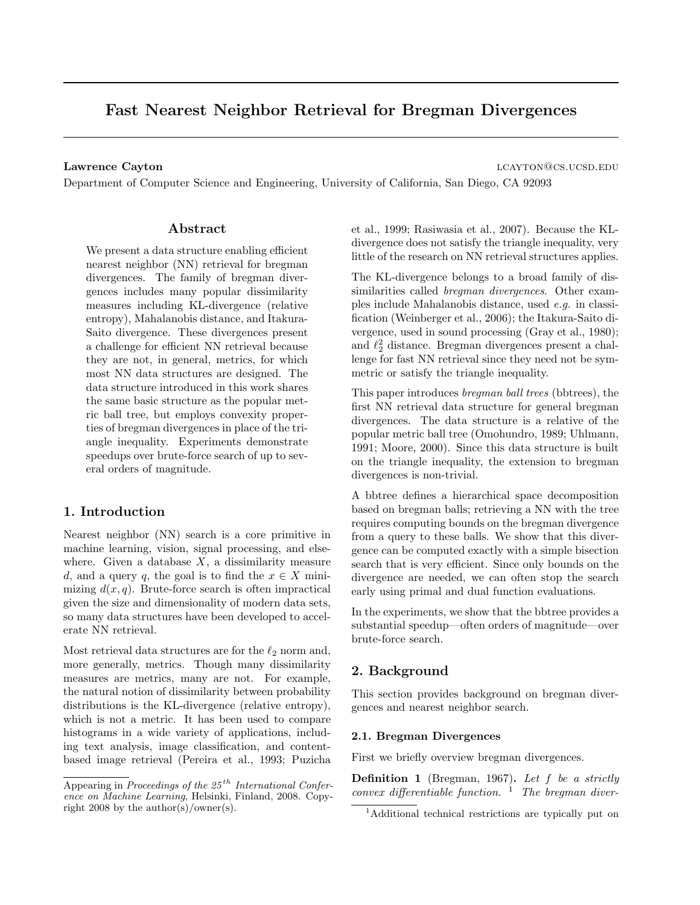# Fast Nearest Neighbor Retrieval for Bregman Divergences

Lawrence Cayton and the contract of the contract of the contract of the contract of the contract of the contract of the contract of the contract of the contract of the contract of the contract of the contract of the contra

Department of Computer Science and Engineering, University of California, San Diego, CA 92093

# Abstract

We present a data structure enabling efficient nearest neighbor (NN) retrieval for bregman divergences. The family of bregman divergences includes many popular dissimilarity measures including KL-divergence (relative entropy), Mahalanobis distance, and Itakura-Saito divergence. These divergences present a challenge for efficient NN retrieval because they are not, in general, metrics, for which most NN data structures are designed. The data structure introduced in this work shares the same basic structure as the popular metric ball tree, but employs convexity properties of bregman divergences in place of the triangle inequality. Experiments demonstrate speedups over brute-force search of up to several orders of magnitude.

# 1. Introduction

Nearest neighbor (NN) search is a core primitive in machine learning, vision, signal processing, and elsewhere. Given a database  $X$ , a dissimilarity measure d, and a query q, the goal is to find the  $x \in X$  minimizing  $d(x, q)$ . Brute-force search is often impractical given the size and dimensionality of modern data sets, so many data structures have been developed to accelerate NN retrieval.

Most retrieval data structures are for the  $\ell_2$  norm and, more generally, metrics. Though many dissimilarity measures are metrics, many are not. For example, the natural notion of dissimilarity between probability distributions is the KL-divergence (relative entropy), which is not a metric. It has been used to compare histograms in a wide variety of applications, including text analysis, image classification, and contentbased image retrieval (Pereira et al., 1993; Puzicha et al., 1999; Rasiwasia et al., 2007). Because the KLdivergence does not satisfy the triangle inequality, very little of the research on NN retrieval structures applies.

The KL-divergence belongs to a broad family of dissimilarities called bregman divergences. Other examples include Mahalanobis distance, used e.g. in classification (Weinberger et al., 2006); the Itakura-Saito divergence, used in sound processing (Gray et al., 1980); and  $\ell_2^2$  distance. Bregman divergences present a challenge for fast NN retrieval since they need not be symmetric or satisfy the triangle inequality.

This paper introduces bregman ball trees (bbtrees), the first NN retrieval data structure for general bregman divergences. The data structure is a relative of the popular metric ball tree (Omohundro, 1989; Uhlmann, 1991; Moore, 2000). Since this data structure is built on the triangle inequality, the extension to bregman divergences is non-trivial.

A bbtree defines a hierarchical space decomposition based on bregman balls; retrieving a NN with the tree requires computing bounds on the bregman divergence from a query to these balls. We show that this divergence can be computed exactly with a simple bisection search that is very efficient. Since only bounds on the divergence are needed, we can often stop the search early using primal and dual function evaluations.

In the experiments, we show that the bbtree provides a substantial speedup—often orders of magnitude—over brute-force search.

# 2. Background

This section provides background on bregman divergences and nearest neighbor search.

#### 2.1. Bregman Divergences

First we briefly overview bregman divergences.

**Definition 1** (Bregman, 1967). Let  $f$  be a strictly convex differentiable function.  $1$  The bregman diver-

Appearing in Proceedings of the  $25<sup>th</sup>$  International Conference on Machine Learning, Helsinki, Finland, 2008. Copyright 2008 by the author(s)/owner(s).

<sup>1</sup>Additional technical restrictions are typically put on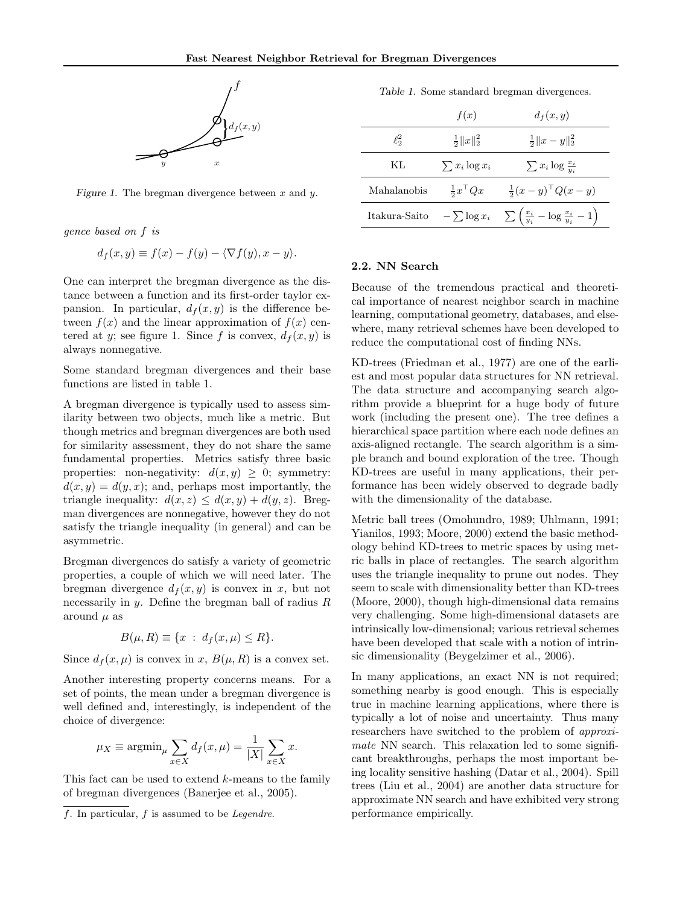

Figure 1. The bregman divergence between  $x$  and  $y$ .

gence based on f is

$$
d_f(x, y) \equiv f(x) - f(y) - \langle \nabla f(y), x - y \rangle.
$$

One can interpret the bregman divergence as the distance between a function and its first-order taylor expansion. In particular,  $d_f(x, y)$  is the difference between  $f(x)$  and the linear approximation of  $f(x)$  centered at y; see figure 1. Since f is convex,  $d_f(x, y)$  is always nonnegative.

Some standard bregman divergences and their base functions are listed in table 1.

A bregman divergence is typically used to assess similarity between two objects, much like a metric. But though metrics and bregman divergences are both used for similarity assessment, they do not share the same fundamental properties. Metrics satisfy three basic properties: non-negativity:  $d(x, y) \geq 0$ ; symmetry:  $d(x, y) = d(y, x)$ ; and, perhaps most importantly, the triangle inequality:  $d(x, z) \leq d(x, y) + d(y, z)$ . Bregman divergences are nonnegative, however they do not satisfy the triangle inequality (in general) and can be asymmetric.

Bregman divergences do satisfy a variety of geometric properties, a couple of which we will need later. The bregman divergence  $d_f(x, y)$  is convex in x, but not necessarily in y. Define the bregman ball of radius  $R$ around  $\mu$  as

$$
B(\mu, R) \equiv \{x \; : \; d_f(x, \mu) \le R\}.
$$

Since  $d_f(x, \mu)$  is convex in x,  $B(\mu, R)$  is a convex set.

Another interesting property concerns means. For a set of points, the mean under a bregman divergence is well defined and, interestingly, is independent of the choice of divergence:

$$
\mu_X \equiv \operatorname{argmin}_{\mu} \sum_{x \in X} d_f(x, \mu) = \frac{1}{|X|} \sum_{x \in X} x.
$$

This fact can be used to extend k-means to the family of bregman divergences (Banerjee et al., 2005).

Table 1. Some standard bregman divergences.

|                  | f(x)                   | $d_f(x,y)$                                                       |
|------------------|------------------------|------------------------------------------------------------------|
| $\ell_{\circ}^2$ | $rac{1}{2}  x  _2^2$   | $\frac{1}{2}  x-y  _2^2$                                         |
| KL.              | $\sum x_i \log x_i$    | $\sum x_i \log \frac{x_i}{y_i}$                                  |
| Mahalanobis      | $rac{1}{2}x^{\perp}Qx$ | $\frac{1}{2}(x-y)^{\top} Q(x-y)$                                 |
| Itakura-Saito    | $-\sum \log x_i$       | $\sum \left( \frac{x_i}{y_i} - \log \frac{x_i}{y_i} - 1 \right)$ |

#### 2.2. NN Search

Because of the tremendous practical and theoretical importance of nearest neighbor search in machine learning, computational geometry, databases, and elsewhere, many retrieval schemes have been developed to reduce the computational cost of finding NNs.

KD-trees (Friedman et al., 1977) are one of the earliest and most popular data structures for NN retrieval. The data structure and accompanying search algorithm provide a blueprint for a huge body of future work (including the present one). The tree defines a hierarchical space partition where each node defines an axis-aligned rectangle. The search algorithm is a simple branch and bound exploration of the tree. Though KD-trees are useful in many applications, their performance has been widely observed to degrade badly with the dimensionality of the database.

Metric ball trees (Omohundro, 1989; Uhlmann, 1991; Yianilos, 1993; Moore, 2000) extend the basic methodology behind KD-trees to metric spaces by using metric balls in place of rectangles. The search algorithm uses the triangle inequality to prune out nodes. They seem to scale with dimensionality better than KD-trees (Moore, 2000), though high-dimensional data remains very challenging. Some high-dimensional datasets are intrinsically low-dimensional; various retrieval schemes have been developed that scale with a notion of intrinsic dimensionality (Beygelzimer et al., 2006).

In many applications, an exact NN is not required; something nearby is good enough. This is especially true in machine learning applications, where there is typically a lot of noise and uncertainty. Thus many researchers have switched to the problem of approximate NN search. This relaxation led to some significant breakthroughs, perhaps the most important being locality sensitive hashing (Datar et al., 2004). Spill trees (Liu et al., 2004) are another data structure for approximate NN search and have exhibited very strong performance empirically.

f. In particular, f is assumed to be Legendre.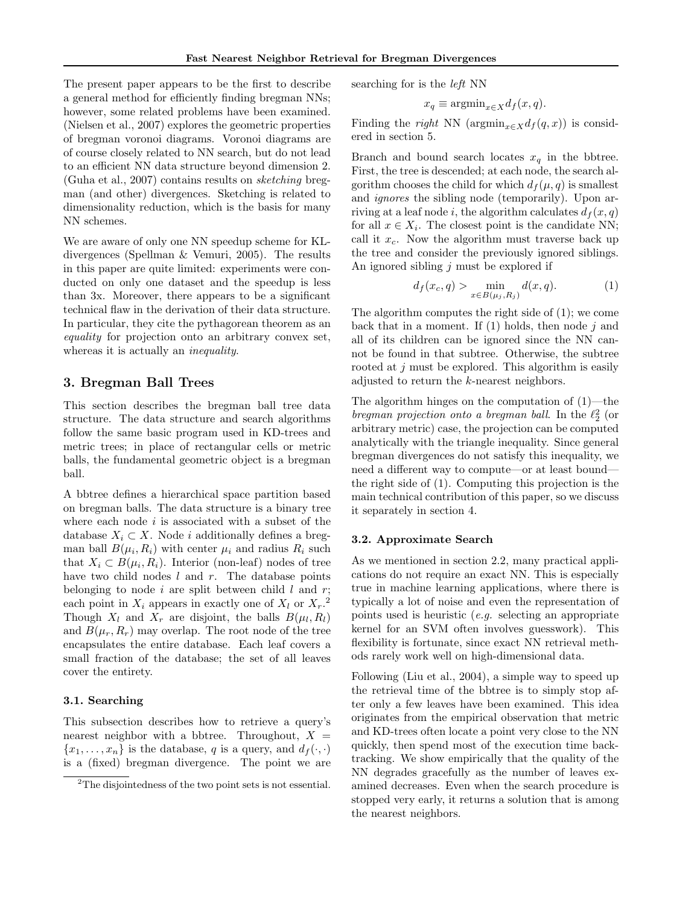The present paper appears to be the first to describe a general method for efficiently finding bregman NNs; however, some related problems have been examined. (Nielsen et al., 2007) explores the geometric properties of bregman voronoi diagrams. Voronoi diagrams are of course closely related to NN search, but do not lead to an efficient NN data structure beyond dimension 2. (Guha et al., 2007) contains results on sketching bregman (and other) divergences. Sketching is related to dimensionality reduction, which is the basis for many NN schemes.

We are aware of only one NN speedup scheme for KLdivergences (Spellman & Vemuri, 2005). The results in this paper are quite limited: experiments were conducted on only one dataset and the speedup is less than 3x. Moreover, there appears to be a significant technical flaw in the derivation of their data structure. In particular, they cite the pythagorean theorem as an equality for projection onto an arbitrary convex set, whereas it is actually an *inequality*.

# 3. Bregman Ball Trees

This section describes the bregman ball tree data structure. The data structure and search algorithms follow the same basic program used in KD-trees and metric trees; in place of rectangular cells or metric balls, the fundamental geometric object is a bregman ball.

A bbtree defines a hierarchical space partition based on bregman balls. The data structure is a binary tree where each node  $i$  is associated with a subset of the database  $X_i \subset X$ . Node i additionally defines a bregman ball  $B(\mu_i, R_i)$  with center  $\mu_i$  and radius  $R_i$  such that  $X_i \subset B(\mu_i, R_i)$ . Interior (non-leaf) nodes of tree have two child nodes  $l$  and  $r$ . The database points belonging to node i are split between child  $l$  and  $r$ ; each point in  $X_i$  appears in exactly one of  $X_l$  or  $X_r$ .<sup>2</sup> Though  $X_l$  and  $X_r$  are disjoint, the balls  $B(\mu_l, R_l)$ and  $B(\mu_r, R_r)$  may overlap. The root node of the tree encapsulates the entire database. Each leaf covers a small fraction of the database; the set of all leaves cover the entirety.

#### 3.1. Searching

This subsection describes how to retrieve a query's nearest neighbor with a bbtree. Throughout,  $X =$  ${x_1, \ldots, x_n}$  is the database, q is a query, and  $d_f(\cdot, \cdot)$ is a (fixed) bregman divergence. The point we are searching for is the left NN

$$
x_q \equiv \operatorname{argmin}_{x \in X} d_f(x, q).
$$

Finding the right NN ( $\operatorname{argmin}_{x \in X} d_f(q, x)$ ) is considered in section 5.

Branch and bound search locates  $x_q$  in the bbtree. First, the tree is descended; at each node, the search algorithm chooses the child for which  $d_f(\mu, q)$  is smallest and *ignores* the sibling node (temporarily). Upon arriving at a leaf node i, the algorithm calculates  $d_f(x, q)$ for all  $x \in X_i$ . The closest point is the candidate NN; call it  $x_c$ . Now the algorithm must traverse back up the tree and consider the previously ignored siblings. An ignored sibling j must be explored if

$$
d_f(x_c, q) > \min_{x \in B(\mu_j, R_j)} d(x, q). \tag{1}
$$

The algorithm computes the right side of (1); we come back that in a moment. If  $(1)$  holds, then node j and all of its children can be ignored since the NN cannot be found in that subtree. Otherwise, the subtree rooted at j must be explored. This algorithm is easily adjusted to return the k-nearest neighbors.

The algorithm hinges on the computation of  $(1)$ —the bregman projection onto a bregman ball. In the  $\ell_2^2$  (or arbitrary metric) case, the projection can be computed analytically with the triangle inequality. Since general bregman divergences do not satisfy this inequality, we need a different way to compute—or at least bound the right side of (1). Computing this projection is the main technical contribution of this paper, so we discuss it separately in section 4.

#### 3.2. Approximate Search

As we mentioned in section 2.2, many practical applications do not require an exact NN. This is especially true in machine learning applications, where there is typically a lot of noise and even the representation of points used is heuristic (e.g. selecting an appropriate kernel for an SVM often involves guesswork). This flexibility is fortunate, since exact NN retrieval methods rarely work well on high-dimensional data.

Following (Liu et al., 2004), a simple way to speed up the retrieval time of the bbtree is to simply stop after only a few leaves have been examined. This idea originates from the empirical observation that metric and KD-trees often locate a point very close to the NN quickly, then spend most of the execution time backtracking. We show empirically that the quality of the NN degrades gracefully as the number of leaves examined decreases. Even when the search procedure is stopped very early, it returns a solution that is among the nearest neighbors.

<sup>2</sup>The disjointedness of the two point sets is not essential.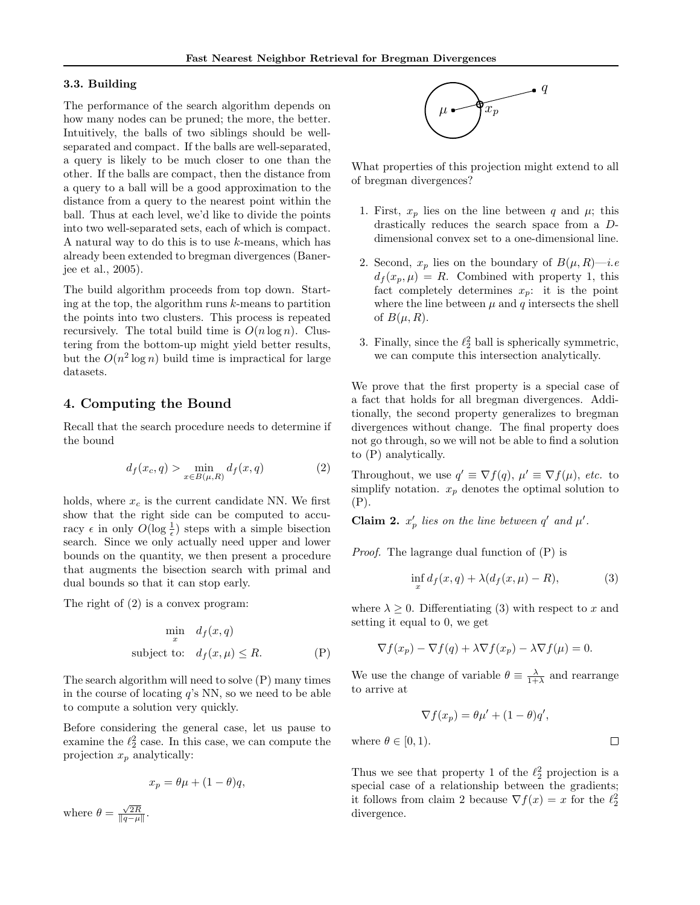# 3.3. Building

The performance of the search algorithm depends on how many nodes can be pruned; the more, the better. Intuitively, the balls of two siblings should be wellseparated and compact. If the balls are well-separated, a query is likely to be much closer to one than the other. If the balls are compact, then the distance from a query to a ball will be a good approximation to the distance from a query to the nearest point within the ball. Thus at each level, we'd like to divide the points into two well-separated sets, each of which is compact. A natural way to do this is to use  $k$ -means, which has already been extended to bregman divergences (Banerjee et al., 2005).

The build algorithm proceeds from top down. Starting at the top, the algorithm runs  $k$ -means to partition the points into two clusters. This process is repeated recursively. The total build time is  $O(n \log n)$ . Clustering from the bottom-up might yield better results, but the  $O(n^2 \log n)$  build time is impractical for large datasets.

# 4. Computing the Bound

Recall that the search procedure needs to determine if the bound

$$
d_f(x_c, q) > \min_{x \in B(\mu, R)} d_f(x, q)
$$
 (2)

holds, where  $x_c$  is the current candidate NN. We first show that the right side can be computed to accuracy  $\epsilon$  in only  $O(\log \frac{1}{\epsilon})$  steps with a simple bisection search. Since we only actually need upper and lower bounds on the quantity, we then present a procedure that augments the bisection search with primal and dual bounds so that it can stop early.

The right of (2) is a convex program:

$$
\min_{x} d_f(x, q)
$$
  
subject to:  $d_f(x, \mu) \le R.$  (P)

The search algorithm will need to solve (P) many times in the course of locating  $q$ 's NN, so we need to be able to compute a solution very quickly.

Before considering the general case, let us pause to examine the  $\ell_2^2$  case. In this case, we can compute the projection  $x_p$  analytically:

$$
x_p = \theta \mu + (1 - \theta)q,
$$

where  $\theta = \frac{\sqrt{2R}}{\|q-\mu\|}$ .



What properties of this projection might extend to all of bregman divergences?

- 1. First,  $x_p$  lies on the line between q and  $\mu$ ; this drastically reduces the search space from a Ddimensional convex set to a one-dimensional line.
- 2. Second,  $x_p$  lies on the boundary of  $B(\mu, R)$ —*i.e*  $d_f(x_p, \mu) = R$ . Combined with property 1, this fact completely determines  $x_p$ : it is the point where the line between  $\mu$  and  $q$  intersects the shell of  $B(\mu, R)$ .
- 3. Finally, since the  $\ell_2^2$  ball is spherically symmetric, we can compute this intersection analytically.

We prove that the first property is a special case of a fact that holds for all bregman divergences. Additionally, the second property generalizes to bregman divergences without change. The final property does not go through, so we will not be able to find a solution to (P) analytically.

Throughout, we use  $q' \equiv \nabla f(q)$ ,  $\mu' \equiv \nabla f(\mu)$ , etc. to simplify notation.  $x_p$  denotes the optimal solution to (P).

**Claim 2.**  $x'_p$  lies on the line between q' and  $\mu'$ .

Proof. The lagrange dual function of (P) is

$$
\inf_{x} d_f(x, q) + \lambda (d_f(x, \mu) - R), \tag{3}
$$

where  $\lambda \geq 0$ . Differentiating (3) with respect to x and setting it equal to 0, we get

$$
\nabla f(x_p) - \nabla f(q) + \lambda \nabla f(x_p) - \lambda \nabla f(\mu) = 0.
$$

We use the change of variable  $\theta \equiv \frac{\lambda}{1+\lambda}$  and rearrange to arrive at

$$
\nabla f(x_p) = \theta \mu' + (1 - \theta) q',
$$

where  $\theta \in [0, 1)$ .

$$
\Box
$$

Thus we see that property 1 of the  $\ell_2^2$  projection is a special case of a relationship between the gradients; it follows from claim 2 because  $\nabla f(x) = x$  for the  $\ell_2^2$ divergence.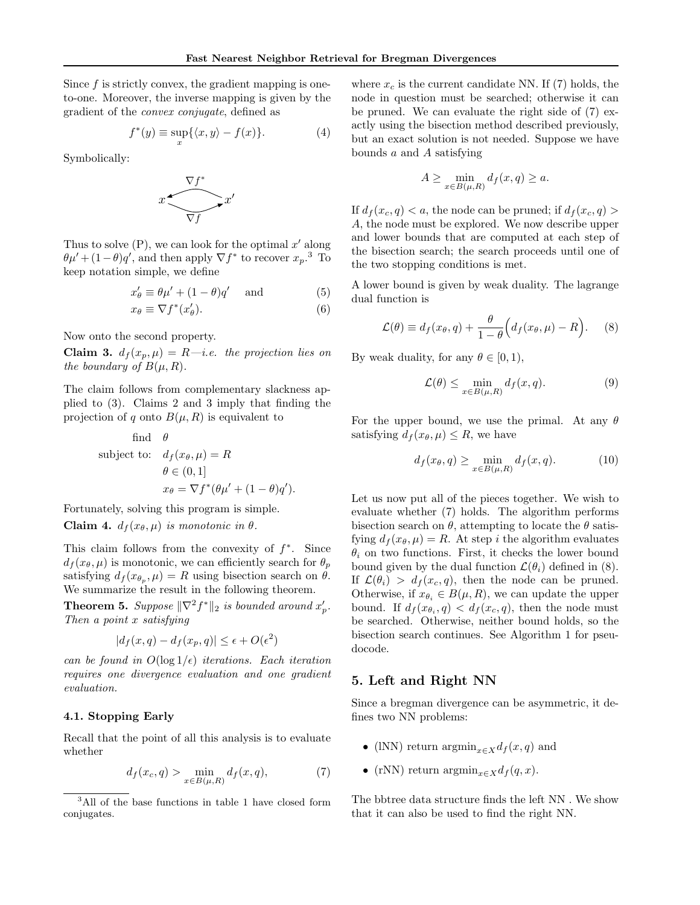Since  $f$  is strictly convex, the gradient mapping is oneto-one. Moreover, the inverse mapping is given by the gradient of the convex conjugate, defined as

$$
f^*(y) \equiv \sup_x \{ \langle x, y \rangle - f(x) \}. \tag{4}
$$

Symbolically:



Thus to solve  $(P)$ , we can look for the optimal  $x'$  along  $\theta \mu' + (1 - \theta) q'$ , and then apply  $\nabla f^*$  to recover  $x_p$ .<sup>3</sup> To keep notation simple, we define

$$
x'_{\theta} \equiv \theta \mu' + (1 - \theta) q' \quad \text{and} \tag{5}
$$

$$
x_{\theta} \equiv \nabla f^*(x_{\theta}'). \tag{6}
$$

Now onto the second property.

Claim 3.  $d_f(x_p, \mu) = R - i.e.$  the projection lies on the boundary of  $B(\mu, R)$ .

The claim follows from complementary slackness applied to (3). Claims 2 and 3 imply that finding the projection of q onto  $B(\mu, R)$  is equivalent to

find 
$$
\theta
$$
  
subject to:  $d_f(x_{\theta}, \mu) = R$   
 $\theta \in (0, 1]$   
 $x_{\theta} = \nabla f^*(\theta \mu' + (1 - \theta)q').$ 

Fortunately, solving this program is simple.

Claim 4.  $d_f(x_\theta, \mu)$  is monotonic in  $\theta$ .

This claim follows from the convexity of  $f^*$ . Since  $d_f(x_\theta, \mu)$  is monotonic, we can efficiently search for  $\theta_p$ satisfying  $d_f(x_{\theta_p}, \mu) = R$  using bisection search on  $\theta$ . We summarize the result in the following theorem.

**Theorem 5.** Suppose  $\|\nabla^2 f^*\|_2$  is bounded around  $x'_p$ . Then a point x satisfying

$$
|d_f(x,q) - d_f(x_p,q)| \le \epsilon + O(\epsilon^2)
$$

can be found in  $O(\log 1/\epsilon)$  iterations. Each iteration requires one divergence evaluation and one gradient evaluation.

### 4.1. Stopping Early

Recall that the point of all this analysis is to evaluate whether

$$
d_f(x_c, q) > \min_{x \in B(\mu, R)} d_f(x, q),
$$
 (7)

where  $x_c$  is the current candidate NN. If (7) holds, the node in question must be searched; otherwise it can be pruned. We can evaluate the right side of (7) exactly using the bisection method described previously, but an exact solution is not needed. Suppose we have bounds  $a$  and  $A$  satisfying

$$
A \ge \min_{x \in B(\mu, R)} d_f(x, q) \ge a.
$$

If  $d_f(x_c, q) < a$ , the node can be pruned; if  $d_f(x_c, q) > a$ A, the node must be explored. We now describe upper and lower bounds that are computed at each step of the bisection search; the search proceeds until one of the two stopping conditions is met.

A lower bound is given by weak duality. The lagrange dual function is

$$
\mathcal{L}(\theta) \equiv d_f(x_\theta, q) + \frac{\theta}{1 - \theta} \Big( d_f(x_\theta, \mu) - R \Big). \tag{8}
$$

By weak duality, for any  $\theta \in [0, 1)$ ,

$$
\mathcal{L}(\theta) \le \min_{x \in B(\mu, R)} d_f(x, q). \tag{9}
$$

For the upper bound, we use the primal. At any  $\theta$ satisfying  $d_f(x_\theta, \mu) \leq R$ , we have

$$
d_f(x_\theta, q) \ge \min_{x \in B(\mu, R)} d_f(x, q). \tag{10}
$$

Let us now put all of the pieces together. We wish to evaluate whether (7) holds. The algorithm performs bisection search on  $\theta$ , attempting to locate the  $\theta$  satisfying  $d_f(x_\theta, \mu) = R$ . At step i the algorithm evaluates  $\theta_i$  on two functions. First, it checks the lower bound bound given by the dual function  $\mathcal{L}(\theta_i)$  defined in (8). If  $\mathcal{L}(\theta_i) > d_f(x_c, q)$ , then the node can be pruned. Otherwise, if  $x_{\theta_i} \in B(\mu, R)$ , we can update the upper bound. If  $d_f(x_{\theta_i}, q) < d_f(x_c, q)$ , then the node must be searched. Otherwise, neither bound holds, so the bisection search continues. See Algorithm 1 for pseudocode.

# 5. Left and Right NN

Since a bregman divergence can be asymmetric, it defines two NN problems:

- (lNN) return  $\operatorname{argmin}_{x \in X} d_f(x, q)$  and
- (rNN) return  $\operatorname{argmin}_{x \in X} d_f(q, x)$ .

The bbtree data structure finds the left NN . We show that it can also be used to find the right NN.

<sup>3</sup>All of the base functions in table 1 have closed form conjugates.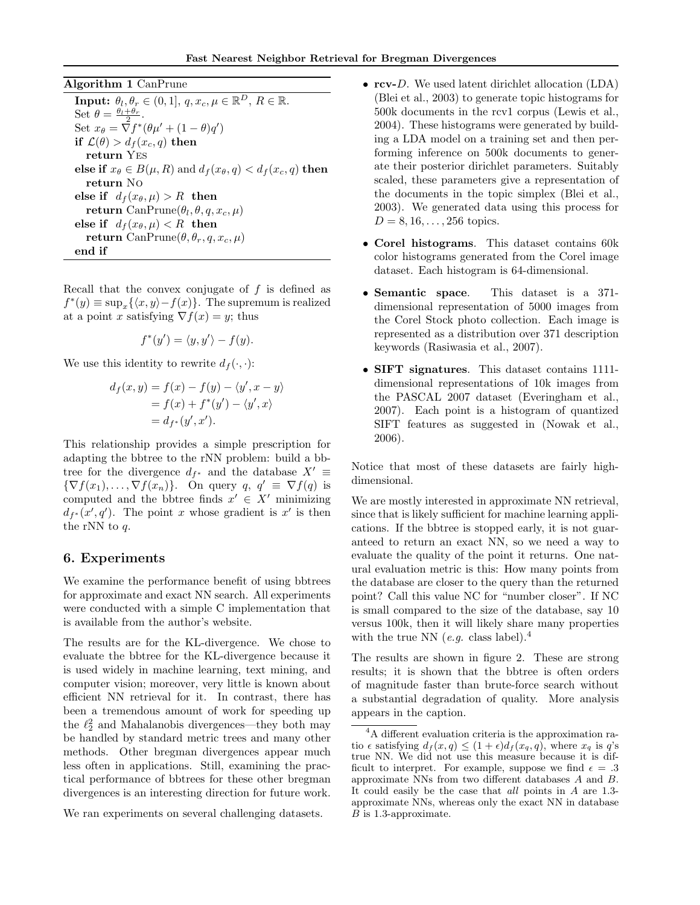Algorithm 1 CanPrune

**Input:**  $\theta_l, \theta_r \in (0, 1], q, x_c, \mu \in \mathbb{R}^D, R \in \mathbb{R}$ . Set  $\theta = \frac{\theta_l + \theta_r}{2}$ . Set  $x_{\theta} = \nabla f^*(\theta \mu' + (1 - \theta)q')$ if  $\mathcal{L}(\theta) > d_f(x_c, q)$  then return Yes else if  $x_{\theta} \in B(\mu, R)$  and  $d_f(x_{\theta}, q) < d_f(x_c, q)$  then return No else if  $d_f(x_\theta,\mu) > R$  then  $\textbf{return } \text{CanPrune}(\theta_l, \theta, q, x_c, \mu)$ else if  $d_f(x_\theta,\mu) < R$  then return CanPrune $(\theta, \theta_r, q, x_c, \mu)$ end if

Recall that the convex conjugate of  $f$  is defined as  $f^*(y) \equiv \sup_x {\{\langle x, y \rangle - f(x)\}}$ . The supremum is realized at a point x satisfying  $\nabla f(x) = y$ ; thus

$$
f^*(y') = \langle y, y' \rangle - f(y).
$$

We use this identity to rewrite  $d_f(\cdot, \cdot)$ :

$$
d_f(x, y) = f(x) - f(y) - \langle y', x - y \rangle
$$
  
=  $f(x) + f^*(y') - \langle y', x \rangle$   
=  $d_{f^*}(y', x').$ 

This relationship provides a simple prescription for adapting the bbtree to the rNN problem: build a bbtree for the divergence  $d_{f^*}$  and the database  $X' \equiv$  $\{\nabla f(x_1), \ldots, \nabla f(x_n)\}\.$  On query  $q, q' \equiv \nabla f(q)$  is computed and the bbtree finds  $x' \in X'$  minimizing  $d_{f^*}(x', q')$ . The point x whose gradient is x' is then the rNN to q.

# 6. Experiments

We examine the performance benefit of using bbtrees for approximate and exact NN search. All experiments were conducted with a simple C implementation that is available from the author's website.

The results are for the KL-divergence. We chose to evaluate the bbtree for the KL-divergence because it is used widely in machine learning, text mining, and computer vision; moreover, very little is known about efficient NN retrieval for it. In contrast, there has been a tremendous amount of work for speeding up the  $\ell_2^2$  and Mahalanobis divergences—they both may be handled by standard metric trees and many other methods. Other bregman divergences appear much less often in applications. Still, examining the practical performance of bbtrees for these other bregman divergences is an interesting direction for future work.

We ran experiments on several challenging datasets.

- rcv-D. We used latent dirichlet allocation (LDA) (Blei et al., 2003) to generate topic histograms for 500k documents in the rcv1 corpus (Lewis et al., 2004). These histograms were generated by building a LDA model on a training set and then performing inference on 500k documents to generate their posterior dirichlet parameters. Suitably scaled, these parameters give a representation of the documents in the topic simplex (Blei et al., 2003). We generated data using this process for  $D = 8, 16, \ldots, 256$  topics.
- Corel histograms. This dataset contains 60k color histograms generated from the Corel image dataset. Each histogram is 64-dimensional.
- Semantic space. This dataset is a 371dimensional representation of 5000 images from the Corel Stock photo collection. Each image is represented as a distribution over 371 description keywords (Rasiwasia et al., 2007).
- SIFT signatures. This dataset contains 1111 dimensional representations of 10k images from the PASCAL 2007 dataset (Everingham et al., 2007). Each point is a histogram of quantized SIFT features as suggested in (Nowak et al., 2006).

Notice that most of these datasets are fairly highdimensional.

We are mostly interested in approximate NN retrieval, since that is likely sufficient for machine learning applications. If the bbtree is stopped early, it is not guaranteed to return an exact NN, so we need a way to evaluate the quality of the point it returns. One natural evaluation metric is this: How many points from the database are closer to the query than the returned point? Call this value NC for "number closer". If NC is small compared to the size of the database, say 10 versus 100k, then it will likely share many properties with the true NN (*e.g.* class label).<sup>4</sup>

The results are shown in figure 2. These are strong results; it is shown that the bbtree is often orders of magnitude faster than brute-force search without a substantial degradation of quality. More analysis appears in the caption.

<sup>4</sup>A different evaluation criteria is the approximation ratio  $\epsilon$  satisfying  $d_f(x,q) \leq (1+\epsilon)d_f(x_q,q)$ , where  $x_q$  is  $q$ 's true NN. We did not use this measure because it is difficult to interpret. For example, suppose we find  $\epsilon = .3$ approximate NNs from two different databases A and B. It could easily be the case that all points in A are 1.3 approximate NNs, whereas only the exact NN in database B is 1.3-approximate.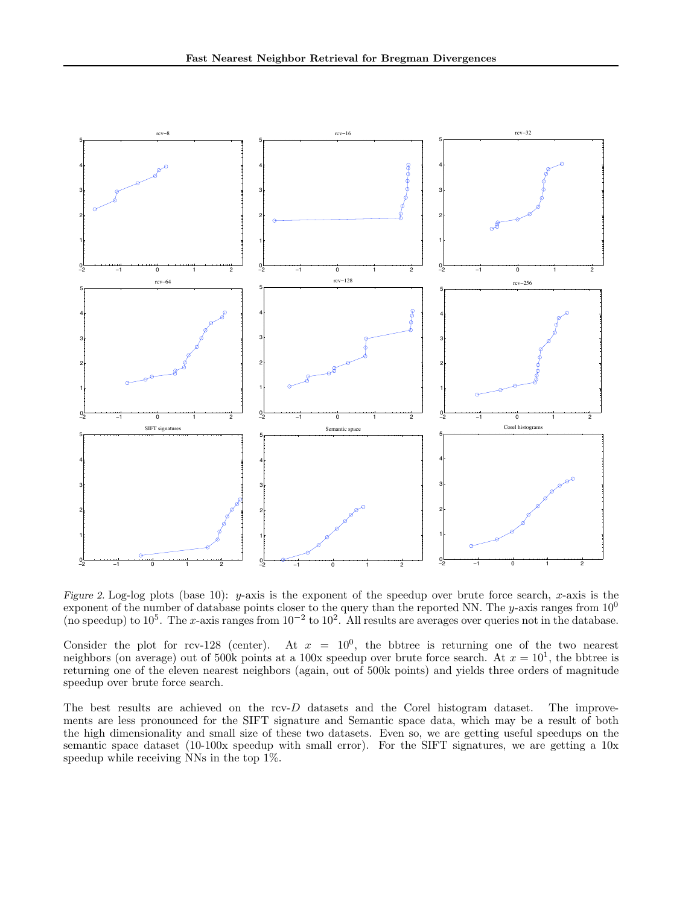

Figure 2. Log-log plots (base 10): y-axis is the exponent of the speedup over brute force search, x-axis is the exponent of the number of database points closer to the query than the reported NN. The y-axis ranges from  $10^0$ (no speedup) to  $10^5$ . The x-axis ranges from  $10^{-2}$  to  $10^2$ . All results are averages over queries not in the database.

Consider the plot for rcv-128 (center). At  $x = 10^0$ , the bbtree is returning one of the two nearest neighbors (on average) out of 500k points at a 100x speedup over brute force search. At  $x = 10<sup>1</sup>$ , the bbtree is returning one of the eleven nearest neighbors (again, out of 500k points) and yields three orders of magnitude speedup over brute force search.

The best results are achieved on the rcv-D datasets and the Corel histogram dataset. The improvements are less pronounced for the SIFT signature and Semantic space data, which may be a result of both the high dimensionality and small size of these two datasets. Even so, we are getting useful speedups on the semantic space dataset (10-100x speedup with small error). For the SIFT signatures, we are getting a 10x speedup while receiving NNs in the top 1%.